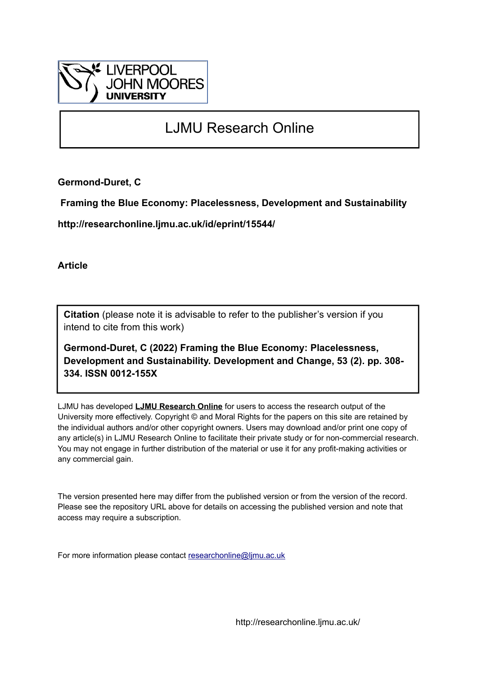

# LJMU Research Online

**Germond-Duret, C**

 **Framing the Blue Economy: Placelessness, Development and Sustainability**

**http://researchonline.ljmu.ac.uk/id/eprint/15544/**

**Article**

**Citation** (please note it is advisable to refer to the publisher's version if you intend to cite from this work)

**Germond-Duret, C (2022) Framing the Blue Economy: Placelessness, Development and Sustainability. Development and Change, 53 (2). pp. 308- 334. ISSN 0012-155X** 

LJMU has developed **[LJMU Research Online](http://researchonline.ljmu.ac.uk/)** for users to access the research output of the University more effectively. Copyright © and Moral Rights for the papers on this site are retained by the individual authors and/or other copyright owners. Users may download and/or print one copy of any article(s) in LJMU Research Online to facilitate their private study or for non-commercial research. You may not engage in further distribution of the material or use it for any profit-making activities or any commercial gain.

The version presented here may differ from the published version or from the version of the record. Please see the repository URL above for details on accessing the published version and note that access may require a subscription.

For more information please contact [researchonline@ljmu.ac.uk](mailto:researchonline@ljmu.ac.uk)

http://researchonline.ljmu.ac.uk/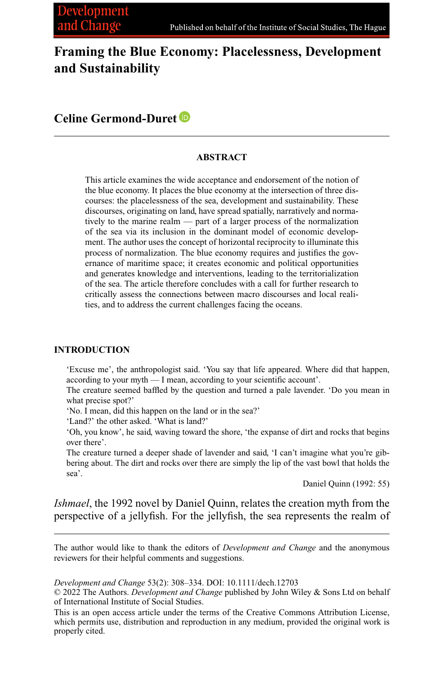## **Framing the Blue Economy: Placelessness, Development and Sustainability**

### **Celine Germond-Duret**

#### **ABSTRACT**

This article examines the wide acceptance and endorsement of the notion of the blue economy. It places the blue economy at the intersection of three discourses: the placelessness of the sea, development and sustainability. These discourses, originating on land, have spread spatially, narratively and normatively to the marine realm — part of a larger process of the normalization of the sea via its inclusion in the dominant model of economic development. The author uses the concept of horizontal reciprocity to illuminate this process of normalization. The blue economy requires and justifies the governance of maritime space; it creates economic and political opportunities and generates knowledge and interventions, leading to the territorialization of the sea. The article therefore concludes with a call for further research to critically assess the connections between macro discourses and local realities, and to address the current challenges facing the oceans.

#### **INTRODUCTION**

'Excuse me', the anthropologist said. 'You say that life appeared. Where did that happen, according to your myth — I mean, according to your scientific account'.

The creature seemed baffled by the question and turned a pale lavender. 'Do you mean in what precise spot?'

'No. I mean, did this happen on the land or in the sea?'

'Land?' the other asked. 'What is land?'

'Oh, you know', he said, waving toward the shore, 'the expanse of dirt and rocks that begins over there'.

The creature turned a deeper shade of lavender and said, 'I can't imagine what you're gibbering about. The dirt and rocks over there are simply the lip of the vast bowl that holds the sea'.

Daniel Quinn (1992: 55)

*Ishmael*, the 1992 novel by Daniel Quinn, relates the creation myth from the perspective of a jellyfish. For the jellyfish, the sea represents the realm of

The author would like to thank the editors of *Development and Change* and the anonymous reviewers for their helpful comments and suggestions.

*Development and Change* 53(2): 308–334. DOI: 10.1111/dech.12703

© 2022 The Authors. *Development and Change* published by John Wiley & Sons Ltd on behalf of International Institute of Social Studies.

This is an open access article under the terms of the [Creative Commons Attribution](http://creativecommons.org/licenses/by/4.0/) License, which permits use, distribution and reproduction in any medium, provided the original work is properly cited.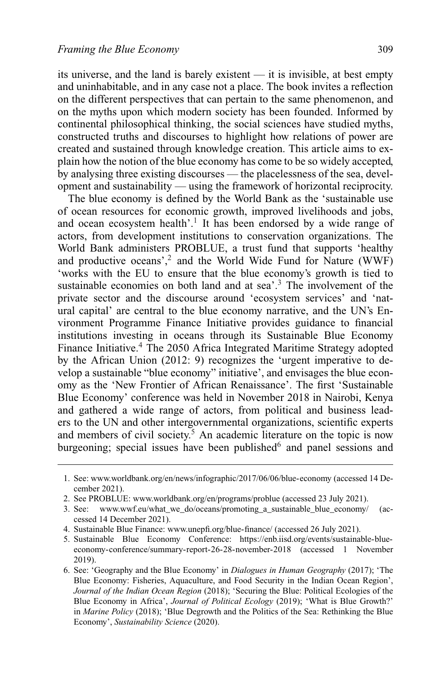its universe, and the land is barely existent — it is invisible, at best empty and uninhabitable, and in any case not a place. The book invites a reflection on the different perspectives that can pertain to the same phenomenon, and on the myths upon which modern society has been founded. Informed by continental philosophical thinking, the social sciences have studied myths, constructed truths and discourses to highlight how relations of power are created and sustained through knowledge creation. This article aims to explain how the notion of the blue economy has come to be so widely accepted, by analysing three existing discourses — the placelessness of the sea, development and sustainability — using the framework of horizontal reciprocity.

The blue economy is defined by the World Bank as the 'sustainable use of ocean resources for economic growth, improved livelihoods and jobs, and ocean ecosystem health'.<sup>1</sup> It has been endorsed by a wide range of actors, from development institutions to conservation organizations. The World Bank administers PROBLUE, a trust fund that supports 'healthy and productive oceans',<sup>2</sup> and the World Wide Fund for Nature (WWF) 'works with the EU to ensure that the blue economy's growth is tied to sustainable economies on both land and at sea'.<sup>3</sup> The involvement of the private sector and the discourse around 'ecosystem services' and 'natural capital' are central to the blue economy narrative, and the UN's Environment Programme Finance Initiative provides guidance to financial institutions investing in oceans through its Sustainable Blue Economy Finance Initiative.<sup>4</sup> The 2050 Africa Integrated Maritime Strategy adopted by the African Union (2012: 9) recognizes the 'urgent imperative to develop a sustainable "blue economy" initiative', and envisages the blue economy as the 'New Frontier of African Renaissance'. The first 'Sustainable Blue Economy' conference was held in November 2018 in Nairobi, Kenya and gathered a wide range of actors, from political and business leaders to the UN and other intergovernmental organizations, scientific experts and members of civil society.<sup>5</sup> An academic literature on the topic is now burgeoning; special issues have been published<sup>6</sup> and panel sessions and

<sup>1.</sup> See: [www.worldbank.org/en/news/infographic/2017/06/06/blue-economy](http://www.worldbank.org/en/news/infographic/2017/06/06/blue-economy) (accessed 14 December 2021).

<sup>2.</sup> See PROBLUE: [www.worldbank.org/en/programs/problue](http://www.worldbank.org/en/programs/problue) (accessed 23 July 2021).

<sup>3.</sup> See: www.wwf.eu/what we do/oceans/promoting a sustainable blue economy/ (accessed 14 December 2021).

<sup>4.</sup> Sustainable Blue Finance: [www.unepfi.org/blue-finance/](http://www.unepfi.org/blue-finance/) (accessed 26 July 2021).

<sup>5.</sup> Sustainable Blue Economy Conference: [https://enb.iisd.org/events/sustainable-blue](https://enb.iisd.org/events/sustainable-blue-economy-conference/summary-report-26-28-november-2018)[economy-conference/summary-report-26-28-november-2018](https://enb.iisd.org/events/sustainable-blue-economy-conference/summary-report-26-28-november-2018) (accessed 1 November 2019).

<sup>6.</sup> See: 'Geography and the Blue Economy' in *Dialogues in Human Geography* (2017); 'The Blue Economy: Fisheries, Aquaculture, and Food Security in the Indian Ocean Region', *Journal of the Indian Ocean Region* (2018); 'Securing the Blue: Political Ecologies of the Blue Economy in Africa', *Journal of Political Ecology* (2019); 'What is Blue Growth?' in *Marine Policy* (2018); 'Blue Degrowth and the Politics of the Sea: Rethinking the Blue Economy', *Sustainability Science* (2020).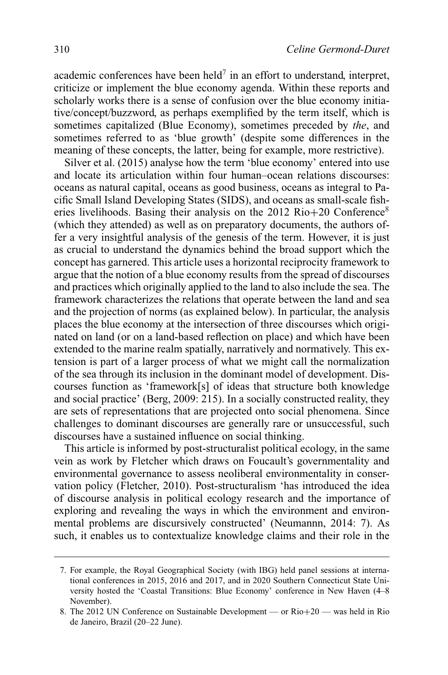academic conferences have been held<sup>7</sup> in an effort to understand, interpret, criticize or implement the blue economy agenda. Within these reports and scholarly works there is a sense of confusion over the blue economy initiative/concept/buzzword, as perhaps exemplified by the term itself, which is sometimes capitalized (Blue Economy), sometimes preceded by *the*, and sometimes referred to as 'blue growth' (despite some differences in the meaning of these concepts, the latter, being for example, more restrictive).

Silver et al. (2015) analyse how the term 'blue economy' entered into use and locate its articulation within four human–ocean relations discourses: oceans as natural capital, oceans as good business, oceans as integral to Pacific Small Island Developing States (SIDS), and oceans as small-scale fisheries livelihoods. Basing their analysis on the 2012  $\text{Rio+20}$  Conference<sup>8</sup> (which they attended) as well as on preparatory documents, the authors offer a very insightful analysis of the genesis of the term. However, it is just as crucial to understand the dynamics behind the broad support which the concept has garnered. This article uses a horizontal reciprocity framework to argue that the notion of a blue economy results from the spread of discourses and practices which originally applied to the land to also include the sea. The framework characterizes the relations that operate between the land and sea and the projection of norms (as explained below). In particular, the analysis places the blue economy at the intersection of three discourses which originated on land (or on a land-based reflection on place) and which have been extended to the marine realm spatially, narratively and normatively. This extension is part of a larger process of what we might call the normalization of the sea through its inclusion in the dominant model of development. Discourses function as 'framework[s] of ideas that structure both knowledge and social practice' (Berg, 2009: 215). In a socially constructed reality, they are sets of representations that are projected onto social phenomena. Since challenges to dominant discourses are generally rare or unsuccessful, such discourses have a sustained influence on social thinking.

This article is informed by post-structuralist political ecology, in the same vein as work by Fletcher which draws on Foucault's governmentality and environmental governance to assess neoliberal environmentality in conservation policy (Fletcher, 2010). Post-structuralism 'has introduced the idea of discourse analysis in political ecology research and the importance of exploring and revealing the ways in which the environment and environmental problems are discursively constructed' (Neumannn, 2014: 7). As such, it enables us to contextualize knowledge claims and their role in the

<sup>7.</sup> For example, the Royal Geographical Society (with IBG) held panel sessions at international conferences in 2015, 2016 and 2017, and in 2020 Southern Connecticut State University hosted the 'Coastal Transitions: Blue Economy' conference in New Haven (4–8 November).

<sup>8.</sup> The 2012 UN Conference on Sustainable Development — or Rio+20 — was held in Rio de Janeiro, Brazil (20–22 June).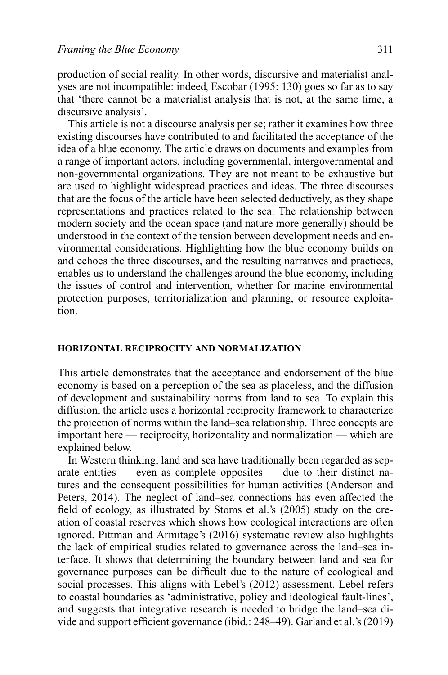production of social reality. In other words, discursive and materialist analyses are not incompatible: indeed, Escobar (1995: 130) goes so far as to say that 'there cannot be a materialist analysis that is not, at the same time, a discursive analysis'.

This article is not a discourse analysis per se; rather it examines how three existing discourses have contributed to and facilitated the acceptance of the idea of a blue economy. The article draws on documents and examples from a range of important actors, including governmental, intergovernmental and non-governmental organizations. They are not meant to be exhaustive but are used to highlight widespread practices and ideas. The three discourses that are the focus of the article have been selected deductively, as they shape representations and practices related to the sea. The relationship between modern society and the ocean space (and nature more generally) should be understood in the context of the tension between development needs and environmental considerations. Highlighting how the blue economy builds on and echoes the three discourses, and the resulting narratives and practices, enables us to understand the challenges around the blue economy, including the issues of control and intervention, whether for marine environmental protection purposes, territorialization and planning, or resource exploitation.

#### **HORIZONTAL RECIPROCITY AND NORMALIZATION**

This article demonstrates that the acceptance and endorsement of the blue economy is based on a perception of the sea as placeless, and the diffusion of development and sustainability norms from land to sea. To explain this diffusion, the article uses a horizontal reciprocity framework to characterize the projection of norms within the land–sea relationship. Three concepts are important here — reciprocity, horizontality and normalization — which are explained below.

In Western thinking, land and sea have traditionally been regarded as separate entities — even as complete opposites — due to their distinct natures and the consequent possibilities for human activities (Anderson and Peters, 2014). The neglect of land–sea connections has even affected the field of ecology, as illustrated by Stoms et al.'s (2005) study on the creation of coastal reserves which shows how ecological interactions are often ignored. Pittman and Armitage's (2016) systematic review also highlights the lack of empirical studies related to governance across the land–sea interface. It shows that determining the boundary between land and sea for governance purposes can be difficult due to the nature of ecological and social processes. This aligns with Lebel's (2012) assessment. Lebel refers to coastal boundaries as 'administrative, policy and ideological fault-lines', and suggests that integrative research is needed to bridge the land–sea divide and support efficient governance (ibid.: 248–49). Garland et al.'s (2019)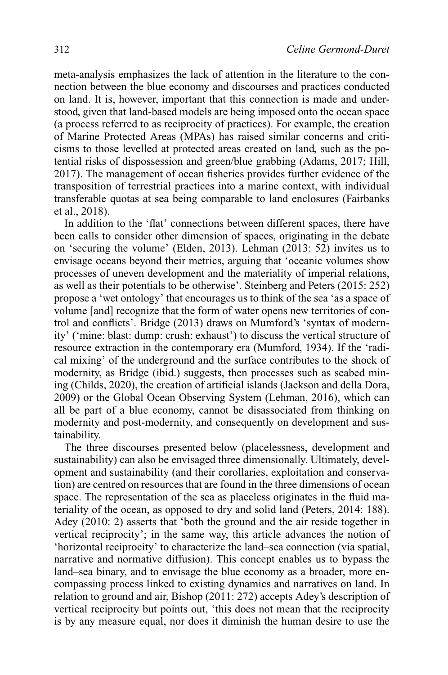meta-analysis emphasizes the lack of attention in the literature to the connection between the blue economy and discourses and practices conducted on land. It is, however, important that this connection is made and understood, given that land-based models are being imposed onto the ocean space (a process referred to as reciprocity of practices). For example, the creation of Marine Protected Areas (MPAs) has raised similar concerns and criticisms to those levelled at protected areas created on land, such as the potential risks of dispossession and green/blue grabbing (Adams, 2017; Hill, 2017). The management of ocean fisheries provides further evidence of the transposition of terrestrial practices into a marine context, with individual transferable quotas at sea being comparable to land enclosures (Fairbanks et al., 2018).

In addition to the 'flat' connections between different spaces, there have been calls to consider other dimension of spaces, originating in the debate on 'securing the volume' (Elden, 2013). Lehman (2013: 52) invites us to envisage oceans beyond their metrics, arguing that 'oceanic volumes show processes of uneven development and the materiality of imperial relations, as well as their potentials to be otherwise'. Steinberg and Peters (2015: 252) propose a 'wet ontology' that encourages us to think of the sea 'as a space of volume [and] recognize that the form of water opens new territories of control and conflicts'. Bridge (2013) draws on Mumford's 'syntax of modernity' ('mine: blast: dump: crush: exhaust') to discuss the vertical structure of resource extraction in the contemporary era (Mumford, 1934). If the 'radical mixing' of the underground and the surface contributes to the shock of modernity, as Bridge (ibid.) suggests, then processes such as seabed mining (Childs, 2020), the creation of artificial islands (Jackson and della Dora, 2009) or the Global Ocean Observing System (Lehman, 2016), which can all be part of a blue economy, cannot be disassociated from thinking on modernity and post-modernity, and consequently on development and sustainability.

The three discourses presented below (placelessness, development and sustainability) can also be envisaged three dimensionally. Ultimately, development and sustainability (and their corollaries, exploitation and conservation) are centred on resources that are found in the three dimensions of ocean space. The representation of the sea as placeless originates in the fluid materiality of the ocean, as opposed to dry and solid land (Peters, 2014: 188). Adey (2010: 2) asserts that 'both the ground and the air reside together in vertical reciprocity'; in the same way, this article advances the notion of 'horizontal reciprocity' to characterize the land–sea connection (via spatial, narrative and normative diffusion). This concept enables us to bypass the land–sea binary, and to envisage the blue economy as a broader, more encompassing process linked to existing dynamics and narratives on land. In relation to ground and air, Bishop (2011: 272) accepts Adey's description of vertical reciprocity but points out, 'this does not mean that the reciprocity is by any measure equal, nor does it diminish the human desire to use the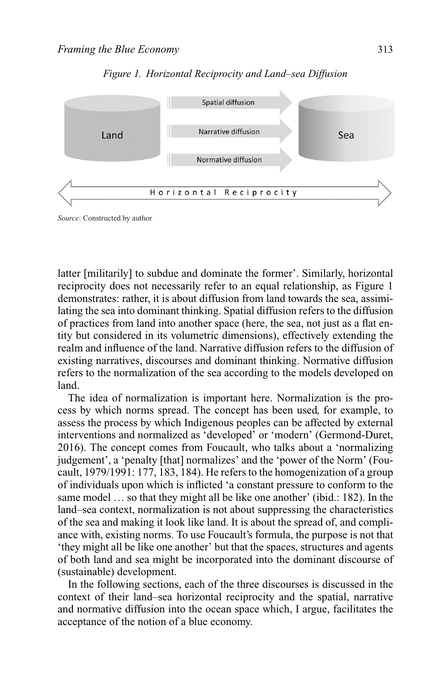

#### *Figure 1. Horizontal Reciprocity and Land–sea Diffusion*

*Source*: Constructed by author

latter [militarily] to subdue and dominate the former'. Similarly, horizontal reciprocity does not necessarily refer to an equal relationship, as Figure 1 demonstrates: rather, it is about diffusion from land towards the sea, assimilating the sea into dominant thinking. Spatial diffusion refers to the diffusion of practices from land into another space (here, the sea, not just as a flat entity but considered in its volumetric dimensions), effectively extending the realm and influence of the land. Narrative diffusion refers to the diffusion of existing narratives, discourses and dominant thinking. Normative diffusion refers to the normalization of the sea according to the models developed on land.

The idea of normalization is important here. Normalization is the process by which norms spread. The concept has been used, for example, to assess the process by which Indigenous peoples can be affected by external interventions and normalized as 'developed' or 'modern' (Germond-Duret, 2016). The concept comes from Foucault, who talks about a 'normalizing judgement', a 'penalty [that] normalizes' and the 'power of the Norm' (Foucault, 1979/1991: 177, 183, 184). He refers to the homogenization of a group of individuals upon which is inflicted 'a constant pressure to conform to the same model … so that they might all be like one another' (ibid.: 182). In the land–sea context, normalization is not about suppressing the characteristics of the sea and making it look like land. It is about the spread of, and compliance with, existing norms. To use Foucault's formula, the purpose is not that 'they might all be like one another' but that the spaces, structures and agents of both land and sea might be incorporated into the dominant discourse of (sustainable) development.

In the following sections, each of the three discourses is discussed in the context of their land–sea horizontal reciprocity and the spatial, narrative and normative diffusion into the ocean space which, I argue, facilitates the acceptance of the notion of a blue economy.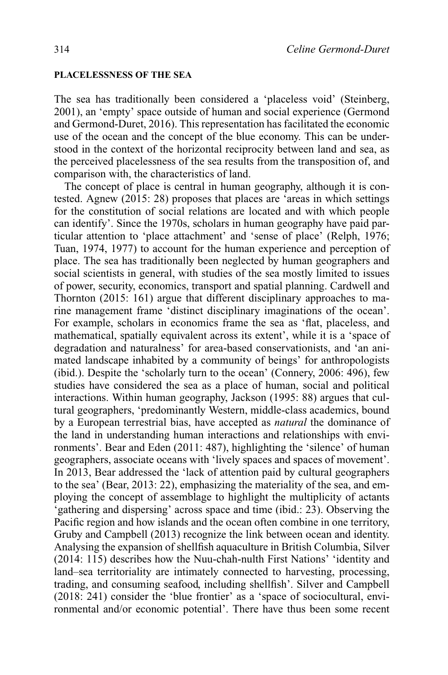#### **PLACELESSNESS OF THE SEA**

The sea has traditionally been considered a 'placeless void' (Steinberg, 2001), an 'empty' space outside of human and social experience (Germond and Germond-Duret, 2016). This representation has facilitated the economic use of the ocean and the concept of the blue economy. This can be understood in the context of the horizontal reciprocity between land and sea, as the perceived placelessness of the sea results from the transposition of, and comparison with, the characteristics of land.

The concept of place is central in human geography, although it is contested. Agnew (2015: 28) proposes that places are 'areas in which settings for the constitution of social relations are located and with which people can identify'. Since the 1970s, scholars in human geography have paid particular attention to 'place attachment' and 'sense of place' (Relph, 1976; Tuan, 1974, 1977) to account for the human experience and perception of place. The sea has traditionally been neglected by human geographers and social scientists in general, with studies of the sea mostly limited to issues of power, security, economics, transport and spatial planning. Cardwell and Thornton (2015: 161) argue that different disciplinary approaches to marine management frame 'distinct disciplinary imaginations of the ocean'. For example, scholars in economics frame the sea as 'flat, placeless, and mathematical, spatially equivalent across its extent', while it is a 'space of degradation and naturalness' for area-based conservationists, and 'an animated landscape inhabited by a community of beings' for anthropologists (ibid.). Despite the 'scholarly turn to the ocean' (Connery, 2006: 496), few studies have considered the sea as a place of human, social and political interactions. Within human geography, Jackson (1995: 88) argues that cultural geographers, 'predominantly Western, middle-class academics, bound by a European terrestrial bias, have accepted as *natural* the dominance of the land in understanding human interactions and relationships with environments'. Bear and Eden (2011: 487), highlighting the 'silence' of human geographers, associate oceans with 'lively spaces and spaces of movement'. In 2013, Bear addressed the 'lack of attention paid by cultural geographers to the sea' (Bear, 2013: 22), emphasizing the materiality of the sea, and employing the concept of assemblage to highlight the multiplicity of actants 'gathering and dispersing' across space and time (ibid.: 23). Observing the Pacific region and how islands and the ocean often combine in one territory, Gruby and Campbell (2013) recognize the link between ocean and identity. Analysing the expansion of shellfish aquaculture in British Columbia, Silver (2014: 115) describes how the Nuu-chah-nulth First Nations' 'identity and land–sea territoriality are intimately connected to harvesting, processing, trading, and consuming seafood, including shellfish'. Silver and Campbell (2018: 241) consider the 'blue frontier' as a 'space of sociocultural, environmental and/or economic potential'. There have thus been some recent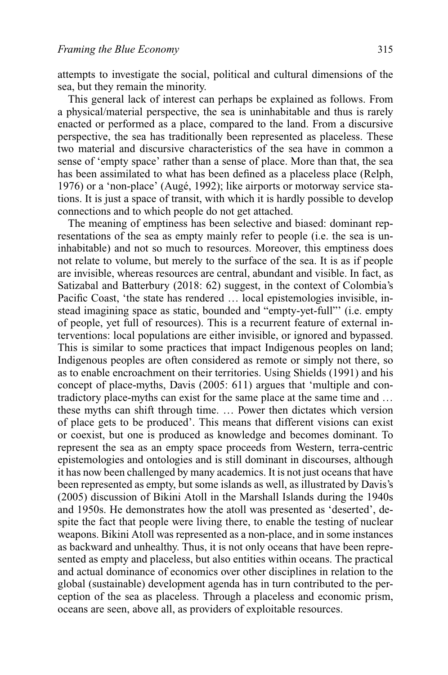attempts to investigate the social, political and cultural dimensions of the sea, but they remain the minority.

This general lack of interest can perhaps be explained as follows. From a physical/material perspective, the sea is uninhabitable and thus is rarely enacted or performed as a place, compared to the land. From a discursive perspective, the sea has traditionally been represented as placeless. These two material and discursive characteristics of the sea have in common a sense of 'empty space' rather than a sense of place. More than that, the sea has been assimilated to what has been defined as a placeless place (Relph, 1976) or a 'non-place' (Augé, 1992); like airports or motorway service stations. It is just a space of transit, with which it is hardly possible to develop connections and to which people do not get attached.

The meaning of emptiness has been selective and biased: dominant representations of the sea as empty mainly refer to people (i.e. the sea is uninhabitable) and not so much to resources. Moreover, this emptiness does not relate to volume, but merely to the surface of the sea. It is as if people are invisible, whereas resources are central, abundant and visible. In fact, as Satizabal and Batterbury (2018: 62) suggest, in the context of Colombia's Pacific Coast, 'the state has rendered … local epistemologies invisible, instead imagining space as static, bounded and "empty-yet-full"' (i.e. empty of people, yet full of resources). This is a recurrent feature of external interventions: local populations are either invisible, or ignored and bypassed. This is similar to some practices that impact Indigenous peoples on land; Indigenous peoples are often considered as remote or simply not there, so as to enable encroachment on their territories. Using Shields (1991) and his concept of place-myths, Davis (2005: 611) argues that 'multiple and contradictory place-myths can exist for the same place at the same time and … these myths can shift through time. … Power then dictates which version of place gets to be produced'. This means that different visions can exist or coexist, but one is produced as knowledge and becomes dominant. To represent the sea as an empty space proceeds from Western, terra-centric epistemologies and ontologies and is still dominant in discourses, although it has now been challenged by many academics. It is not just oceans that have been represented as empty, but some islands as well, as illustrated by Davis's (2005) discussion of Bikini Atoll in the Marshall Islands during the 1940s and 1950s. He demonstrates how the atoll was presented as 'deserted', despite the fact that people were living there, to enable the testing of nuclear weapons. Bikini Atoll was represented as a non-place, and in some instances as backward and unhealthy. Thus, it is not only oceans that have been represented as empty and placeless, but also entities within oceans. The practical and actual dominance of economics over other disciplines in relation to the global (sustainable) development agenda has in turn contributed to the perception of the sea as placeless. Through a placeless and economic prism, oceans are seen, above all, as providers of exploitable resources.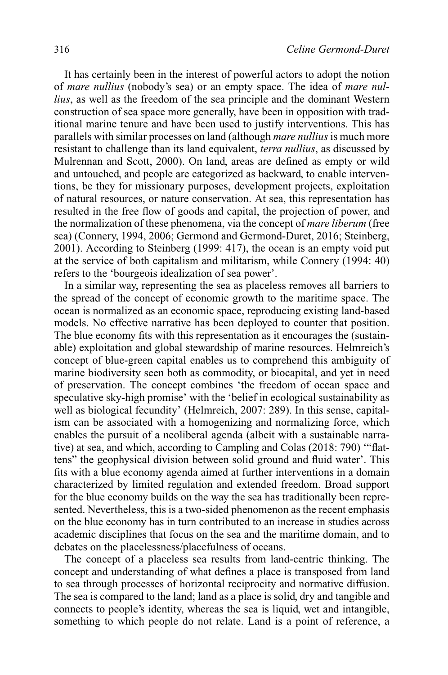It has certainly been in the interest of powerful actors to adopt the notion of *mare nullius* (nobody's sea) or an empty space. The idea of *mare nullius*, as well as the freedom of the sea principle and the dominant Western construction of sea space more generally, have been in opposition with traditional marine tenure and have been used to justify interventions. This has parallels with similar processes on land (although *mare nullius*is much more resistant to challenge than its land equivalent, *terra nullius*, as discussed by Mulrennan and Scott, 2000). On land, areas are defined as empty or wild and untouched, and people are categorized as backward, to enable interventions, be they for missionary purposes, development projects, exploitation of natural resources, or nature conservation. At sea, this representation has resulted in the free flow of goods and capital, the projection of power, and the normalization of these phenomena, via the concept of *mare liberum* (free sea) (Connery, 1994, 2006; Germond and Germond-Duret, 2016; Steinberg, 2001). According to Steinberg (1999: 417), the ocean is an empty void put at the service of both capitalism and militarism, while Connery (1994: 40) refers to the 'bourgeois idealization of sea power'.

In a similar way, representing the sea as placeless removes all barriers to the spread of the concept of economic growth to the maritime space. The ocean is normalized as an economic space, reproducing existing land-based models. No effective narrative has been deployed to counter that position. The blue economy fits with this representation as it encourages the (sustainable) exploitation and global stewardship of marine resources. Helmreich's concept of blue-green capital enables us to comprehend this ambiguity of marine biodiversity seen both as commodity, or biocapital, and yet in need of preservation. The concept combines 'the freedom of ocean space and speculative sky-high promise' with the 'belief in ecological sustainability as well as biological fecundity' (Helmreich, 2007: 289). In this sense, capitalism can be associated with a homogenizing and normalizing force, which enables the pursuit of a neoliberal agenda (albeit with a sustainable narrative) at sea, and which, according to Campling and Colas (2018: 790) '"flattens" the geophysical division between solid ground and fluid water'. This fits with a blue economy agenda aimed at further interventions in a domain characterized by limited regulation and extended freedom. Broad support for the blue economy builds on the way the sea has traditionally been represented. Nevertheless, this is a two-sided phenomenon as the recent emphasis on the blue economy has in turn contributed to an increase in studies across academic disciplines that focus on the sea and the maritime domain, and to debates on the placelessness/placefulness of oceans.

The concept of a placeless sea results from land-centric thinking. The concept and understanding of what defines a place is transposed from land to sea through processes of horizontal reciprocity and normative diffusion. The sea is compared to the land; land as a place is solid, dry and tangible and connects to people's identity, whereas the sea is liquid, wet and intangible, something to which people do not relate. Land is a point of reference, a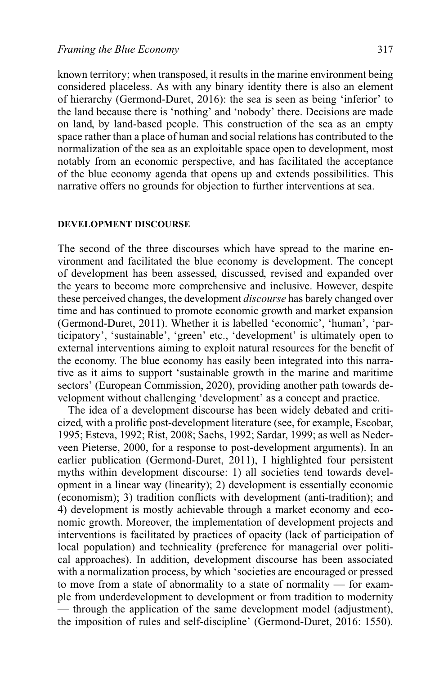known territory; when transposed, it results in the marine environment being considered placeless. As with any binary identity there is also an element of hierarchy (Germond-Duret, 2016): the sea is seen as being 'inferior' to the land because there is 'nothing' and 'nobody' there. Decisions are made on land, by land-based people. This construction of the sea as an empty space rather than a place of human and social relations has contributed to the normalization of the sea as an exploitable space open to development, most notably from an economic perspective, and has facilitated the acceptance of the blue economy agenda that opens up and extends possibilities. This narrative offers no grounds for objection to further interventions at sea.

#### **DEVELOPMENT DISCOURSE**

The second of the three discourses which have spread to the marine environment and facilitated the blue economy is development. The concept of development has been assessed, discussed, revised and expanded over the years to become more comprehensive and inclusive. However, despite these perceived changes, the development *discourse* has barely changed over time and has continued to promote economic growth and market expansion (Germond-Duret, 2011). Whether it is labelled 'economic', 'human', 'participatory', 'sustainable', 'green' etc., 'development' is ultimately open to external interventions aiming to exploit natural resources for the benefit of the economy. The blue economy has easily been integrated into this narrative as it aims to support 'sustainable growth in the marine and maritime sectors' (European Commission, 2020), providing another path towards development without challenging 'development' as a concept and practice.

The idea of a development discourse has been widely debated and criticized, with a prolific post-development literature (see, for example, Escobar, 1995; Esteva, 1992; Rist, 2008; Sachs, 1992; Sardar, 1999; as well as Nederveen Pieterse, 2000, for a response to post-development arguments). In an earlier publication (Germond-Duret, 2011), I highlighted four persistent myths within development discourse: 1) all societies tend towards development in a linear way (linearity); 2) development is essentially economic (economism); 3) tradition conflicts with development (anti-tradition); and 4) development is mostly achievable through a market economy and economic growth. Moreover, the implementation of development projects and interventions is facilitated by practices of opacity (lack of participation of local population) and technicality (preference for managerial over political approaches). In addition, development discourse has been associated with a normalization process, by which 'societies are encouraged or pressed to move from a state of abnormality to a state of normality — for example from underdevelopment to development or from tradition to modernity — through the application of the same development model (adjustment), the imposition of rules and self-discipline' (Germond-Duret, 2016: 1550).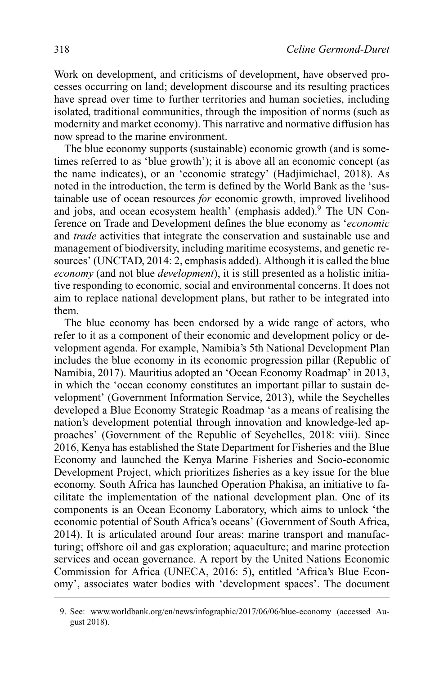Work on development, and criticisms of development, have observed processes occurring on land; development discourse and its resulting practices have spread over time to further territories and human societies, including isolated, traditional communities, through the imposition of norms (such as modernity and market economy). This narrative and normative diffusion has now spread to the marine environment.

The blue economy supports (sustainable) economic growth (and is sometimes referred to as 'blue growth'); it is above all an economic concept (as the name indicates), or an 'economic strategy' (Hadjimichael, 2018). As noted in the introduction, the term is defined by the World Bank as the 'sustainable use of ocean resources *for* economic growth, improved livelihood and jobs, and ocean ecosystem health' (emphasis added).<sup>9</sup> The UN Conference on Trade and Development defines the blue economy as '*economic* and *trade* activities that integrate the conservation and sustainable use and management of biodiversity, including maritime ecosystems, and genetic resources' (UNCTAD, 2014: 2, emphasis added). Although it is called the blue *economy* (and not blue *development*), it is still presented as a holistic initiative responding to economic, social and environmental concerns. It does not aim to replace national development plans, but rather to be integrated into them.

The blue economy has been endorsed by a wide range of actors, who refer to it as a component of their economic and development policy or development agenda. For example, Namibia's 5th National Development Plan includes the blue economy in its economic progression pillar (Republic of Namibia, 2017). Mauritius adopted an 'Ocean Economy Roadmap' in 2013, in which the 'ocean economy constitutes an important pillar to sustain development' (Government Information Service, 2013), while the Seychelles developed a Blue Economy Strategic Roadmap 'as a means of realising the nation's development potential through innovation and knowledge-led approaches' (Government of the Republic of Seychelles, 2018: viii). Since 2016, Kenya has established the State Department for Fisheries and the Blue Economy and launched the Kenya Marine Fisheries and Socio-economic Development Project, which prioritizes fisheries as a key issue for the blue economy. South Africa has launched Operation Phakisa, an initiative to facilitate the implementation of the national development plan. One of its components is an Ocean Economy Laboratory, which aims to unlock 'the economic potential of South Africa's oceans' (Government of South Africa, 2014). It is articulated around four areas: marine transport and manufacturing; offshore oil and gas exploration; aquaculture; and marine protection services and ocean governance. A report by the United Nations Economic Commission for Africa (UNECA, 2016: 5), entitled 'Africa's Blue Economy', associates water bodies with 'development spaces'. The document

<sup>9.</sup> See: [www.worldbank.org/en/news/infographic/2017/06/06/blue-economy](http://www.worldbank.org/en/news/infographic/2017/06/06/blue-economy) (accessed August 2018).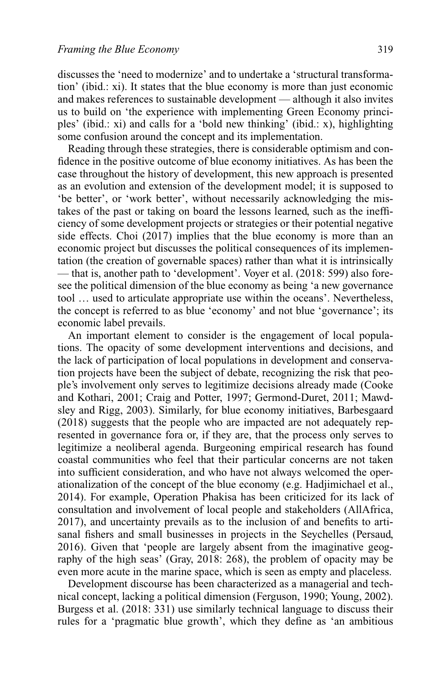discusses the 'need to modernize' and to undertake a 'structural transformation' (ibid.: xi). It states that the blue economy is more than just economic and makes references to sustainable development — although it also invites us to build on 'the experience with implementing Green Economy principles' (ibid.: xi) and calls for a 'bold new thinking' (ibid.: x), highlighting some confusion around the concept and its implementation.

Reading through these strategies, there is considerable optimism and confidence in the positive outcome of blue economy initiatives. As has been the case throughout the history of development, this new approach is presented as an evolution and extension of the development model; it is supposed to 'be better', or 'work better', without necessarily acknowledging the mistakes of the past or taking on board the lessons learned, such as the inefficiency of some development projects or strategies or their potential negative side effects. Choi (2017) implies that the blue economy is more than an economic project but discusses the political consequences of its implementation (the creation of governable spaces) rather than what it is intrinsically — that is, another path to 'development'. Voyer et al. (2018: 599) also foresee the political dimension of the blue economy as being 'a new governance tool … used to articulate appropriate use within the oceans'. Nevertheless, the concept is referred to as blue 'economy' and not blue 'governance'; its economic label prevails.

An important element to consider is the engagement of local populations. The opacity of some development interventions and decisions, and the lack of participation of local populations in development and conservation projects have been the subject of debate, recognizing the risk that people's involvement only serves to legitimize decisions already made (Cooke and Kothari, 2001; Craig and Potter, 1997; Germond-Duret, 2011; Mawdsley and Rigg, 2003). Similarly, for blue economy initiatives, Barbesgaard (2018) suggests that the people who are impacted are not adequately represented in governance fora or, if they are, that the process only serves to legitimize a neoliberal agenda. Burgeoning empirical research has found coastal communities who feel that their particular concerns are not taken into sufficient consideration, and who have not always welcomed the operationalization of the concept of the blue economy (e.g. Hadjimichael et al., 2014). For example, Operation Phakisa has been criticized for its lack of consultation and involvement of local people and stakeholders (AllAfrica, 2017), and uncertainty prevails as to the inclusion of and benefits to artisanal fishers and small businesses in projects in the Seychelles (Persaud, 2016). Given that 'people are largely absent from the imaginative geography of the high seas' (Gray, 2018: 268), the problem of opacity may be even more acute in the marine space, which is seen as empty and placeless.

Development discourse has been characterized as a managerial and technical concept, lacking a political dimension (Ferguson, 1990; Young, 2002). Burgess et al. (2018: 331) use similarly technical language to discuss their rules for a 'pragmatic blue growth', which they define as 'an ambitious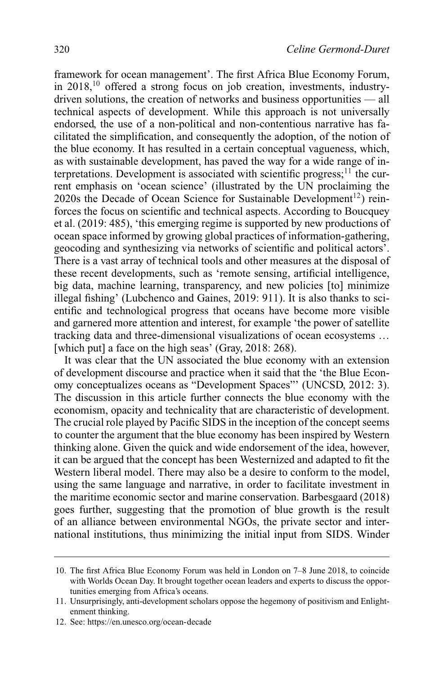framework for ocean management'. The first Africa Blue Economy Forum, in 2018.<sup>10</sup> offered a strong focus on job creation, investments, industrydriven solutions, the creation of networks and business opportunities — all technical aspects of development. While this approach is not universally endorsed, the use of a non-political and non-contentious narrative has facilitated the simplification, and consequently the adoption, of the notion of the blue economy. It has resulted in a certain conceptual vagueness, which, as with sustainable development, has paved the way for a wide range of interpretations. Development is associated with scientific progress; $11$  the current emphasis on 'ocean science' (illustrated by the UN proclaiming the 2020s the Decade of Ocean Science for Sustainable Development<sup>12</sup>) reinforces the focus on scientific and technical aspects. According to Boucquey et al. (2019: 485), 'this emerging regime is supported by new productions of ocean space informed by growing global practices of information-gathering, geocoding and synthesizing via networks of scientific and political actors'. There is a vast array of technical tools and other measures at the disposal of these recent developments, such as 'remote sensing, artificial intelligence, big data, machine learning, transparency, and new policies [to] minimize illegal fishing' (Lubchenco and Gaines, 2019: 911). It is also thanks to scientific and technological progress that oceans have become more visible and garnered more attention and interest, for example 'the power of satellite tracking data and three-dimensional visualizations of ocean ecosystems … [which put] a face on the high seas' (Gray, 2018: 268).

It was clear that the UN associated the blue economy with an extension of development discourse and practice when it said that the 'the Blue Economy conceptualizes oceans as "Development Spaces"' (UNCSD, 2012: 3). The discussion in this article further connects the blue economy with the economism, opacity and technicality that are characteristic of development. The crucial role played by Pacific SIDS in the inception of the concept seems to counter the argument that the blue economy has been inspired by Western thinking alone. Given the quick and wide endorsement of the idea, however, it can be argued that the concept has been Westernized and adapted to fit the Western liberal model. There may also be a desire to conform to the model, using the same language and narrative, in order to facilitate investment in the maritime economic sector and marine conservation. Barbesgaard (2018) goes further, suggesting that the promotion of blue growth is the result of an alliance between environmental NGOs, the private sector and international institutions, thus minimizing the initial input from SIDS. Winder

12. See:<https://en.unesco.org/ocean-decade>

<sup>10.</sup> The first Africa Blue Economy Forum was held in London on 7–8 June 2018, to coincide with Worlds Ocean Day. It brought together ocean leaders and experts to discuss the opportunities emerging from Africa's oceans.

<sup>11.</sup> Unsurprisingly, anti-development scholars oppose the hegemony of positivism and Enlightenment thinking.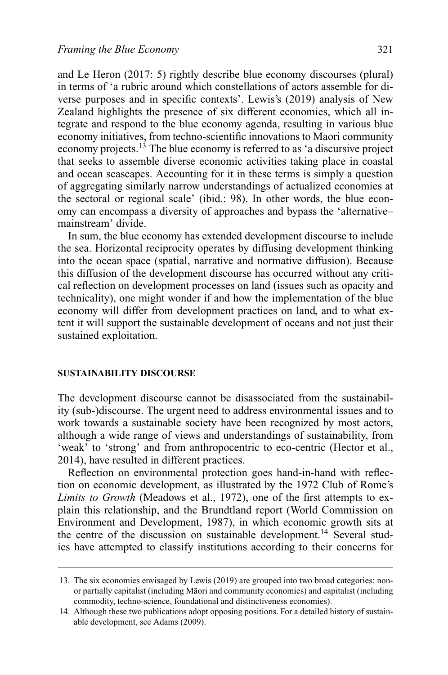and Le Heron (2017: 5) rightly describe blue economy discourses (plural) in terms of 'a rubric around which constellations of actors assemble for diverse purposes and in specific contexts'. Lewis's (2019) analysis of New Zealand highlights the presence of six different economies, which all integrate and respond to the blue economy agenda, resulting in various blue economy initiatives, from techno-scientific innovations to Maori community economy projects.<sup>13</sup> The blue economy is referred to as 'a discursive project that seeks to assemble diverse economic activities taking place in coastal and ocean seascapes. Accounting for it in these terms is simply a question of aggregating similarly narrow understandings of actualized economies at the sectoral or regional scale' (ibid.: 98). In other words, the blue economy can encompass a diversity of approaches and bypass the 'alternative– mainstream' divide.

In sum, the blue economy has extended development discourse to include the sea. Horizontal reciprocity operates by diffusing development thinking into the ocean space (spatial, narrative and normative diffusion). Because this diffusion of the development discourse has occurred without any critical reflection on development processes on land (issues such as opacity and technicality), one might wonder if and how the implementation of the blue economy will differ from development practices on land, and to what extent it will support the sustainable development of oceans and not just their sustained exploitation.

#### **SUSTAINABILITY DISCOURSE**

The development discourse cannot be disassociated from the sustainability (sub-)discourse. The urgent need to address environmental issues and to work towards a sustainable society have been recognized by most actors, although a wide range of views and understandings of sustainability, from 'weak' to 'strong' and from anthropocentric to eco-centric (Hector et al., 2014), have resulted in different practices.

Reflection on environmental protection goes hand-in-hand with reflection on economic development, as illustrated by the 1972 Club of Rome's *Limits to Growth* (Meadows et al., 1972), one of the first attempts to explain this relationship, and the Brundtland report (World Commission on Environment and Development, 1987), in which economic growth sits at the centre of the discussion on sustainable development.<sup>14</sup> Several studies have attempted to classify institutions according to their concerns for

<sup>13.</sup> The six economies envisaged by Lewis (2019) are grouped into two broad categories: nonor partially capitalist (including Maori and community economies) and capitalist (including ¯ commodity, techno-science, foundational and distinctiveness economies).

<sup>14.</sup> Although these two publications adopt opposing positions. For a detailed history of sustainable development, see Adams (2009).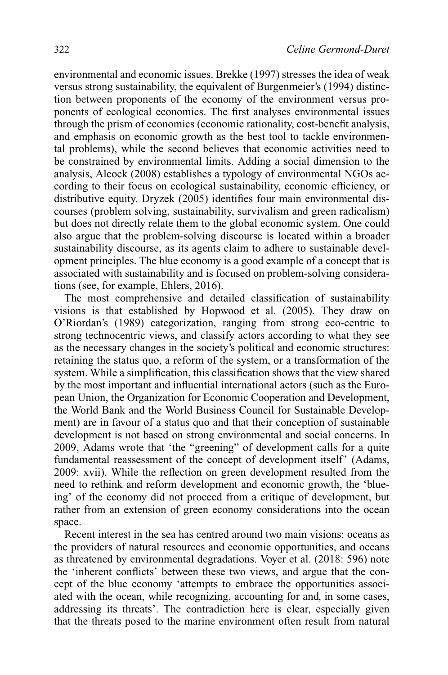environmental and economic issues. Brekke (1997) stresses the idea of weak versus strong sustainability, the equivalent of Burgenmeier's (1994) distinction between proponents of the economy of the environment versus proponents of ecological economics. The first analyses environmental issues through the prism of economics (economic rationality, cost-benefit analysis, and emphasis on economic growth as the best tool to tackle environmental problems), while the second believes that economic activities need to be constrained by environmental limits. Adding a social dimension to the analysis, Alcock (2008) establishes a typology of environmental NGOs according to their focus on ecological sustainability, economic efficiency, or distributive equity. Dryzek (2005) identifies four main environmental discourses (problem solving, sustainability, survivalism and green radicalism) but does not directly relate them to the global economic system. One could also argue that the problem-solving discourse is located within a broader sustainability discourse, as its agents claim to adhere to sustainable development principles. The blue economy is a good example of a concept that is associated with sustainability and is focused on problem-solving considerations (see, for example, Ehlers, 2016).

The most comprehensive and detailed classification of sustainability visions is that established by Hopwood et al. (2005). They draw on O'Riordan's (1989) categorization, ranging from strong eco-centric to strong technocentric views, and classify actors according to what they see as the necessary changes in the society's political and economic structures: retaining the status quo, a reform of the system, or a transformation of the system. While a simplification, this classification shows that the view shared by the most important and influential international actors (such as the European Union, the Organization for Economic Cooperation and Development, the World Bank and the World Business Council for Sustainable Development) are in favour of a status quo and that their conception of sustainable development is not based on strong environmental and social concerns. In 2009, Adams wrote that 'the "greening" of development calls for a quite fundamental reassessment of the concept of development itself' (Adams, 2009: xvii). While the reflection on green development resulted from the need to rethink and reform development and economic growth, the 'blueing' of the economy did not proceed from a critique of development, but rather from an extension of green economy considerations into the ocean space.

Recent interest in the sea has centred around two main visions: oceans as the providers of natural resources and economic opportunities, and oceans as threatened by environmental degradations. Voyer et al. (2018: 596) note the 'inherent conflicts' between these two views, and argue that the concept of the blue economy 'attempts to embrace the opportunities associated with the ocean, while recognizing, accounting for and, in some cases, addressing its threats'. The contradiction here is clear, especially given that the threats posed to the marine environment often result from natural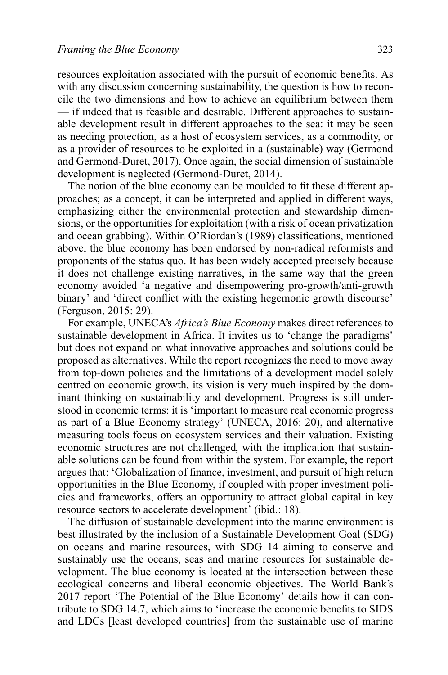resources exploitation associated with the pursuit of economic benefits. As with any discussion concerning sustainability, the question is how to reconcile the two dimensions and how to achieve an equilibrium between them — if indeed that is feasible and desirable. Different approaches to sustainable development result in different approaches to the sea: it may be seen as needing protection, as a host of ecosystem services, as a commodity, or as a provider of resources to be exploited in a (sustainable) way (Germond and Germond-Duret, 2017). Once again, the social dimension of sustainable development is neglected (Germond-Duret, 2014).

The notion of the blue economy can be moulded to fit these different approaches; as a concept, it can be interpreted and applied in different ways, emphasizing either the environmental protection and stewardship dimensions, or the opportunities for exploitation (with a risk of ocean privatization and ocean grabbing). Within O'Riordan's (1989) classifications, mentioned above, the blue economy has been endorsed by non-radical reformists and proponents of the status quo. It has been widely accepted precisely because it does not challenge existing narratives, in the same way that the green economy avoided 'a negative and disempowering pro-growth/anti-growth binary' and 'direct conflict with the existing hegemonic growth discourse' (Ferguson, 2015: 29).

For example, UNECA's *Africa's Blue Economy* makes direct references to sustainable development in Africa. It invites us to 'change the paradigms' but does not expand on what innovative approaches and solutions could be proposed as alternatives. While the report recognizes the need to move away from top-down policies and the limitations of a development model solely centred on economic growth, its vision is very much inspired by the dominant thinking on sustainability and development. Progress is still understood in economic terms: it is 'important to measure real economic progress as part of a Blue Economy strategy' (UNECA, 2016: 20), and alternative measuring tools focus on ecosystem services and their valuation. Existing economic structures are not challenged, with the implication that sustainable solutions can be found from within the system. For example, the report argues that: 'Globalization of finance, investment, and pursuit of high return opportunities in the Blue Economy, if coupled with proper investment policies and frameworks, offers an opportunity to attract global capital in key resource sectors to accelerate development' (ibid.: 18).

The diffusion of sustainable development into the marine environment is best illustrated by the inclusion of a Sustainable Development Goal (SDG) on oceans and marine resources, with SDG 14 aiming to conserve and sustainably use the oceans, seas and marine resources for sustainable development. The blue economy is located at the intersection between these ecological concerns and liberal economic objectives. The World Bank's 2017 report 'The Potential of the Blue Economy' details how it can contribute to SDG 14.7, which aims to 'increase the economic benefits to SIDS and LDCs [least developed countries] from the sustainable use of marine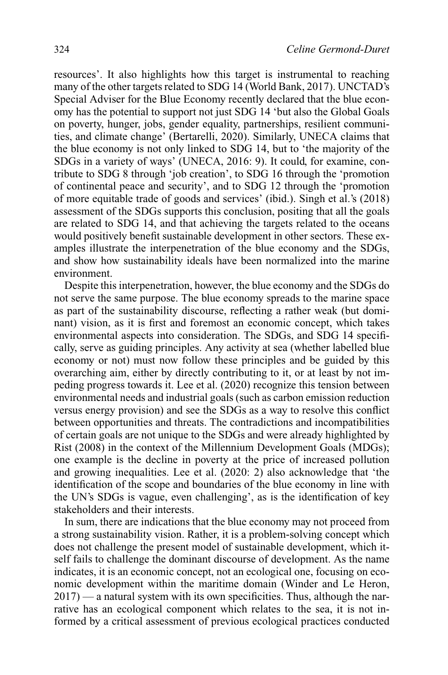resources'. It also highlights how this target is instrumental to reaching many of the other targets related to SDG 14 (World Bank, 2017). UNCTAD's Special Adviser for the Blue Economy recently declared that the blue economy has the potential to support not just SDG 14 'but also the Global Goals on poverty, hunger, jobs, gender equality, partnerships, resilient communities, and climate change' (Bertarelli, 2020). Similarly, UNECA claims that the blue economy is not only linked to SDG 14, but to 'the majority of the SDGs in a variety of ways' (UNECA, 2016: 9). It could, for examine, contribute to SDG 8 through 'job creation', to SDG 16 through the 'promotion of continental peace and security', and to SDG 12 through the 'promotion of more equitable trade of goods and services' (ibid.). Singh et al.'s (2018) assessment of the SDGs supports this conclusion, positing that all the goals are related to SDG 14, and that achieving the targets related to the oceans would positively benefit sustainable development in other sectors. These examples illustrate the interpenetration of the blue economy and the SDGs, and show how sustainability ideals have been normalized into the marine environment.

Despite this interpenetration, however, the blue economy and the SDGs do not serve the same purpose. The blue economy spreads to the marine space as part of the sustainability discourse, reflecting a rather weak (but dominant) vision, as it is first and foremost an economic concept, which takes environmental aspects into consideration. The SDGs, and SDG 14 specifically, serve as guiding principles. Any activity at sea (whether labelled blue economy or not) must now follow these principles and be guided by this overarching aim, either by directly contributing to it, or at least by not impeding progress towards it. Lee et al. (2020) recognize this tension between environmental needs and industrial goals (such as carbon emission reduction versus energy provision) and see the SDGs as a way to resolve this conflict between opportunities and threats. The contradictions and incompatibilities of certain goals are not unique to the SDGs and were already highlighted by Rist (2008) in the context of the Millennium Development Goals (MDGs); one example is the decline in poverty at the price of increased pollution and growing inequalities. Lee et al. (2020: 2) also acknowledge that 'the identification of the scope and boundaries of the blue economy in line with the UN's SDGs is vague, even challenging', as is the identification of key stakeholders and their interests.

In sum, there are indications that the blue economy may not proceed from a strong sustainability vision. Rather, it is a problem-solving concept which does not challenge the present model of sustainable development, which itself fails to challenge the dominant discourse of development. As the name indicates, it is an economic concept, not an ecological one, focusing on economic development within the maritime domain (Winder and Le Heron, 2017) — a natural system with its own specificities. Thus, although the narrative has an ecological component which relates to the sea, it is not informed by a critical assessment of previous ecological practices conducted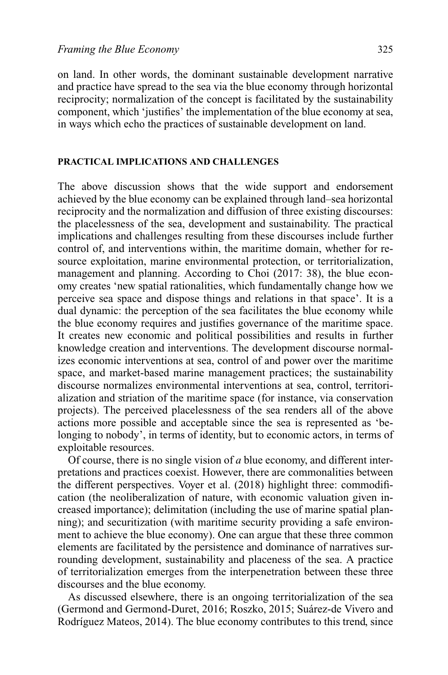on land. In other words, the dominant sustainable development narrative and practice have spread to the sea via the blue economy through horizontal reciprocity; normalization of the concept is facilitated by the sustainability component, which 'justifies' the implementation of the blue economy at sea, in ways which echo the practices of sustainable development on land.

#### **PRACTICAL IMPLICATIONS AND CHALLENGES**

The above discussion shows that the wide support and endorsement achieved by the blue economy can be explained through land–sea horizontal reciprocity and the normalization and diffusion of three existing discourses: the placelessness of the sea, development and sustainability. The practical implications and challenges resulting from these discourses include further control of, and interventions within, the maritime domain, whether for resource exploitation, marine environmental protection, or territorialization, management and planning. According to Choi (2017: 38), the blue economy creates 'new spatial rationalities, which fundamentally change how we perceive sea space and dispose things and relations in that space'. It is a dual dynamic: the perception of the sea facilitates the blue economy while the blue economy requires and justifies governance of the maritime space. It creates new economic and political possibilities and results in further knowledge creation and interventions. The development discourse normalizes economic interventions at sea, control of and power over the maritime space, and market-based marine management practices; the sustainability discourse normalizes environmental interventions at sea, control, territorialization and striation of the maritime space (for instance, via conservation projects). The perceived placelessness of the sea renders all of the above actions more possible and acceptable since the sea is represented as 'belonging to nobody', in terms of identity, but to economic actors, in terms of exploitable resources.

Of course, there is no single vision of *a* blue economy, and different interpretations and practices coexist. However, there are commonalities between the different perspectives. Voyer et al. (2018) highlight three: commodification (the neoliberalization of nature, with economic valuation given increased importance); delimitation (including the use of marine spatial planning); and securitization (with maritime security providing a safe environment to achieve the blue economy). One can argue that these three common elements are facilitated by the persistence and dominance of narratives surrounding development, sustainability and placeness of the sea. A practice of territorialization emerges from the interpenetration between these three discourses and the blue economy.

As discussed elsewhere, there is an ongoing territorialization of the sea (Germond and Germond-Duret, 2016; Roszko, 2015; Suárez-de Vivero and Rodríguez Mateos, 2014). The blue economy contributes to this trend, since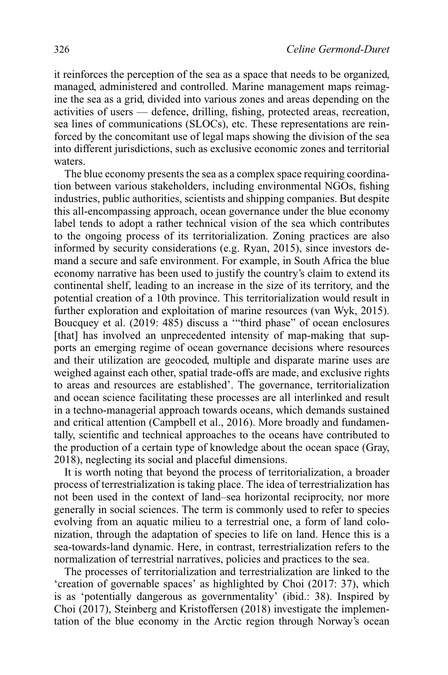it reinforces the perception of the sea as a space that needs to be organized, managed, administered and controlled. Marine management maps reimagine the sea as a grid, divided into various zones and areas depending on the activities of users — defence, drilling, fishing, protected areas, recreation, sea lines of communications (SLOCs), etc. These representations are reinforced by the concomitant use of legal maps showing the division of the sea into different jurisdictions, such as exclusive economic zones and territorial waters.

The blue economy presents the sea as a complex space requiring coordination between various stakeholders, including environmental NGOs, fishing industries, public authorities, scientists and shipping companies. But despite this all-encompassing approach, ocean governance under the blue economy label tends to adopt a rather technical vision of the sea which contributes to the ongoing process of its territorialization. Zoning practices are also informed by security considerations (e.g. Ryan, 2015), since investors demand a secure and safe environment. For example, in South Africa the blue economy narrative has been used to justify the country's claim to extend its continental shelf, leading to an increase in the size of its territory, and the potential creation of a 10th province. This territorialization would result in further exploration and exploitation of marine resources (van Wyk, 2015). Boucquey et al. (2019: 485) discuss a '"third phase" of ocean enclosures [that] has involved an unprecedented intensity of map-making that supports an emerging regime of ocean governance decisions where resources and their utilization are geocoded, multiple and disparate marine uses are weighed against each other, spatial trade-offs are made, and exclusive rights to areas and resources are established'. The governance, territorialization and ocean science facilitating these processes are all interlinked and result in a techno-managerial approach towards oceans, which demands sustained and critical attention (Campbell et al., 2016). More broadly and fundamentally, scientific and technical approaches to the oceans have contributed to the production of a certain type of knowledge about the ocean space (Gray, 2018), neglecting its social and placeful dimensions.

It is worth noting that beyond the process of territorialization, a broader process of terrestrialization is taking place. The idea of terrestrialization has not been used in the context of land–sea horizontal reciprocity, nor more generally in social sciences. The term is commonly used to refer to species evolving from an aquatic milieu to a terrestrial one, a form of land colonization, through the adaptation of species to life on land. Hence this is a sea-towards-land dynamic. Here, in contrast, terrestrialization refers to the normalization of terrestrial narratives, policies and practices to the sea.

The processes of territorialization and terrestrialization are linked to the 'creation of governable spaces' as highlighted by Choi (2017: 37), which is as 'potentially dangerous as governmentality' (ibid.: 38). Inspired by Choi (2017), Steinberg and Kristoffersen (2018) investigate the implementation of the blue economy in the Arctic region through Norway's ocean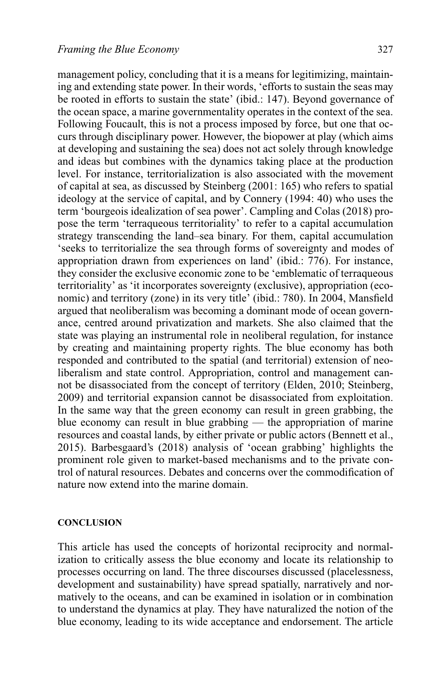management policy, concluding that it is a means for legitimizing, maintaining and extending state power. In their words, 'efforts to sustain the seas may be rooted in efforts to sustain the state' (ibid.: 147). Beyond governance of the ocean space, a marine governmentality operates in the context of the sea. Following Foucault, this is not a process imposed by force, but one that occurs through disciplinary power. However, the biopower at play (which aims at developing and sustaining the sea) does not act solely through knowledge and ideas but combines with the dynamics taking place at the production level. For instance, territorialization is also associated with the movement of capital at sea, as discussed by Steinberg (2001: 165) who refers to spatial ideology at the service of capital, and by Connery (1994: 40) who uses the term 'bourgeois idealization of sea power'. Campling and Colas (2018) propose the term 'terraqueous territoriality' to refer to a capital accumulation strategy transcending the land–sea binary. For them, capital accumulation 'seeks to territorialize the sea through forms of sovereignty and modes of appropriation drawn from experiences on land' (ibid.: 776). For instance, they consider the exclusive economic zone to be 'emblematic of terraqueous territoriality' as 'it incorporates sovereignty (exclusive), appropriation (economic) and territory (zone) in its very title' (ibid.: 780). In 2004, Mansfield argued that neoliberalism was becoming a dominant mode of ocean governance, centred around privatization and markets. She also claimed that the state was playing an instrumental role in neoliberal regulation, for instance by creating and maintaining property rights. The blue economy has both responded and contributed to the spatial (and territorial) extension of neoliberalism and state control. Appropriation, control and management cannot be disassociated from the concept of territory (Elden, 2010; Steinberg, 2009) and territorial expansion cannot be disassociated from exploitation. In the same way that the green economy can result in green grabbing, the blue economy can result in blue grabbing — the appropriation of marine resources and coastal lands, by either private or public actors (Bennett et al., 2015). Barbesgaard's (2018) analysis of 'ocean grabbing' highlights the prominent role given to market-based mechanisms and to the private control of natural resources. Debates and concerns over the commodification of nature now extend into the marine domain.

#### **CONCLUSION**

This article has used the concepts of horizontal reciprocity and normalization to critically assess the blue economy and locate its relationship to processes occurring on land. The three discourses discussed (placelessness, development and sustainability) have spread spatially, narratively and normatively to the oceans, and can be examined in isolation or in combination to understand the dynamics at play. They have naturalized the notion of the blue economy, leading to its wide acceptance and endorsement. The article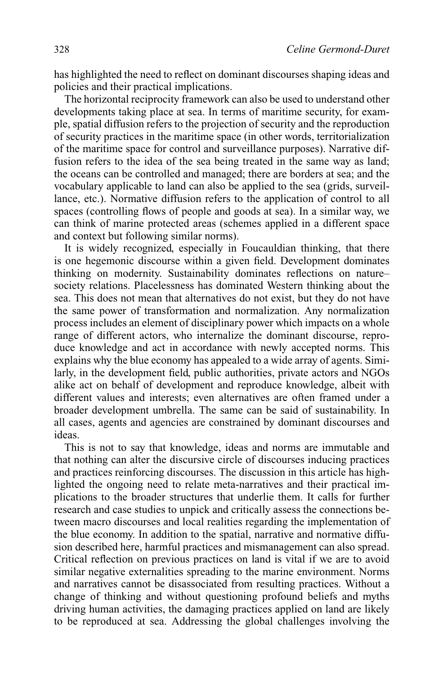has highlighted the need to reflect on dominant discourses shaping ideas and policies and their practical implications.

The horizontal reciprocity framework can also be used to understand other developments taking place at sea. In terms of maritime security, for example, spatial diffusion refers to the projection of security and the reproduction of security practices in the maritime space (in other words, territorialization of the maritime space for control and surveillance purposes). Narrative diffusion refers to the idea of the sea being treated in the same way as land; the oceans can be controlled and managed; there are borders at sea; and the vocabulary applicable to land can also be applied to the sea (grids, surveillance, etc.). Normative diffusion refers to the application of control to all spaces (controlling flows of people and goods at sea). In a similar way, we can think of marine protected areas (schemes applied in a different space and context but following similar norms).

It is widely recognized, especially in Foucauldian thinking, that there is one hegemonic discourse within a given field. Development dominates thinking on modernity. Sustainability dominates reflections on nature– society relations. Placelessness has dominated Western thinking about the sea. This does not mean that alternatives do not exist, but they do not have the same power of transformation and normalization. Any normalization process includes an element of disciplinary power which impacts on a whole range of different actors, who internalize the dominant discourse, reproduce knowledge and act in accordance with newly accepted norms. This explains why the blue economy has appealed to a wide array of agents. Similarly, in the development field, public authorities, private actors and NGOs alike act on behalf of development and reproduce knowledge, albeit with different values and interests; even alternatives are often framed under a broader development umbrella. The same can be said of sustainability. In all cases, agents and agencies are constrained by dominant discourses and ideas.

This is not to say that knowledge, ideas and norms are immutable and that nothing can alter the discursive circle of discourses inducing practices and practices reinforcing discourses. The discussion in this article has highlighted the ongoing need to relate meta-narratives and their practical implications to the broader structures that underlie them. It calls for further research and case studies to unpick and critically assess the connections between macro discourses and local realities regarding the implementation of the blue economy. In addition to the spatial, narrative and normative diffusion described here, harmful practices and mismanagement can also spread. Critical reflection on previous practices on land is vital if we are to avoid similar negative externalities spreading to the marine environment. Norms and narratives cannot be disassociated from resulting practices. Without a change of thinking and without questioning profound beliefs and myths driving human activities, the damaging practices applied on land are likely to be reproduced at sea. Addressing the global challenges involving the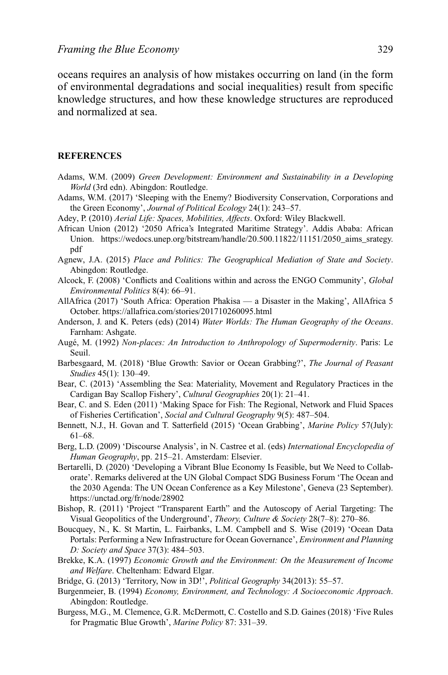oceans requires an analysis of how mistakes occurring on land (in the form of environmental degradations and social inequalities) result from specific knowledge structures, and how these knowledge structures are reproduced and normalized at sea.

#### **REFERENCES**

- Adams, W.M. (2009) *Green Development: Environment and Sustainability in a Developing World* (3rd edn). Abingdon: Routledge.
- Adams, W.M. (2017) 'Sleeping with the Enemy? Biodiversity Conservation, Corporations and the Green Economy', *Journal of Political Ecology* 24(1): 243–57.
- Adey, P. (2010) *Aerial Life: Spaces, Mobilities, Affects*. Oxford: Wiley Blackwell.
- African Union (2012) '2050 Africa's Integrated Maritime Strategy'. Addis Ababa: African Union. [https://wedocs.unep.org/bitstream/handle/20.500.11822/11151/2050\\_aims\\_srategy.](https://wedocs.unep.org/bitstream/handle/20.500.11822/11151/2050_aims_srategy.pdf) [pdf](https://wedocs.unep.org/bitstream/handle/20.500.11822/11151/2050_aims_srategy.pdf)
- Agnew, J.A. (2015) *Place and Politics: The Geographical Mediation of State and Society*. Abingdon: Routledge.
- Alcock, F. (2008) 'Conflicts and Coalitions within and across the ENGO Community', *Global Environmental Politics* 8(4): 66–91.
- AllAfrica (2017) 'South Africa: Operation Phakisa a Disaster in the Making', AllAfrica 5 October.<https://allafrica.com/stories/201710260095.html>
- Anderson, J. and K. Peters (eds) (2014) *Water Worlds: The Human Geography of the Oceans*. Farnham: Ashgate.
- Augé, M. (1992) *Non-places: An Introduction to Anthropology of Supermodernity*. Paris: Le Seuil.
- Barbesgaard, M. (2018) 'Blue Growth: Savior or Ocean Grabbing?', *The Journal of Peasant Studies* 45(1): 130–49.
- Bear, C. (2013) 'Assembling the Sea: Materiality, Movement and Regulatory Practices in the Cardigan Bay Scallop Fishery', *Cultural Geographies* 20(1): 21–41.
- Bear, C. and S. Eden (2011) 'Making Space for Fish: The Regional, Network and Fluid Spaces of Fisheries Certification', *Social and Cultural Geography* 9(5): 487–504.
- Bennett, N.J., H. Govan and T. Satterfield (2015) 'Ocean Grabbing', *Marine Policy* 57(July): 61–68.
- Berg, L.D. (2009) 'Discourse Analysis', in N. Castree et al. (eds) *International Encyclopedia of Human Geography*, pp. 215–21. Amsterdam: Elsevier.
- Bertarelli, D. (2020) 'Developing a Vibrant Blue Economy Is Feasible, but We Need to Collaborate'. Remarks delivered at the UN Global Compact SDG Business Forum 'The Ocean and the 2030 Agenda: The UN Ocean Conference as a Key Milestone', Geneva (23 September). <https://unctad.org/fr/node/28902>
- Bishop, R. (2011) 'Project "Transparent Earth" and the Autoscopy of Aerial Targeting: The Visual Geopolitics of the Underground', *Theory, Culture & Society* 28(7–8): 270–86.
- Boucquey, N., K. St Martin, L. Fairbanks, L.M. Campbell and S. Wise (2019) 'Ocean Data Portals: Performing a New Infrastructure for Ocean Governance', *Environment and Planning D: Society and Space* 37(3): 484–503.
- Brekke, K.A. (1997) *Economic Growth and the Environment: On the Measurement of Income and Welfare*. Cheltenham: Edward Elgar.
- Bridge, G. (2013) 'Territory, Now in 3D!', *Political Geography* 34(2013): 55–57.
- Burgenmeier, B. (1994) *Economy, Environment, and Technology: A Socioeconomic Approach*. Abingdon: Routledge.
- Burgess, M.G., M. Clemence, G.R. McDermott, C. Costello and S.D. Gaines (2018) 'Five Rules for Pragmatic Blue Growth', *Marine Policy* 87: 331–39.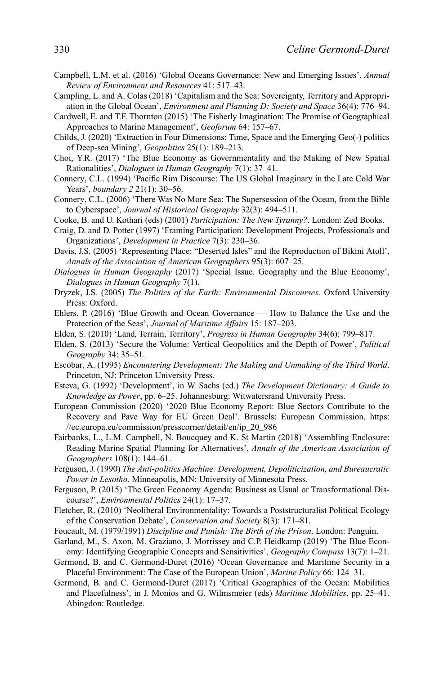- Campbell, L.M. et al. (2016) 'Global Oceans Governance: New and Emerging Issues', *Annual Review of Environment and Resources* 41: 517–43.
- Campling, L. and A. Colas (2018) 'Capitalism and the Sea: Sovereignty, Territory and Appropriation in the Global Ocean', *Environment and Planning D: Society and Space* 36(4): 776–94.
- Cardwell, E. and T.F. Thornton (2015) 'The Fisherly Imagination: The Promise of Geographical Approaches to Marine Management', *Geoforum* 64: 157–67.
- Childs, J. (2020) 'Extraction in Four Dimensions: Time, Space and the Emerging Geo(-) politics of Deep-sea Mining', *Geopolitics* 25(1): 189–213.
- Choi, Y.R. (2017) 'The Blue Economy as Governmentality and the Making of New Spatial Rationalities', *Dialogues in Human Geography* 7(1): 37–41.
- Connery, C.L. (1994) 'Pacific Rim Discourse: The US Global Imaginary in the Late Cold War Years', *boundary 2* 21(1): 30–56.
- Connery, C.L. (2006) 'There Was No More Sea: The Supersession of the Ocean, from the Bible to Cyberspace', *Journal of Historical Geography* 32(3): 494–511.
- Cooke, B. and U. Kothari (eds) (2001) *Participation: The New Tyranny?*. London: Zed Books.
- Craig, D. and D. Potter (1997) 'Framing Participation: Development Projects, Professionals and Organizations', *Development in Practice* 7(3): 230–36.
- Davis, J.S. (2005) 'Representing Place: "Deserted Isles" and the Reproduction of Bikini Atoll', *Annals of the Association of American Geographers* 95(3): 607–25.
- *Dialogues in Human Geography* (2017) 'Special Issue. Geography and the Blue Economy', *Dialogues in Human Geography* 7(1).
- Dryzek, J.S. (2005) *The Politics of the Earth: Environmental Discourses*. Oxford University Press: Oxford.
- Ehlers, P. (2016) 'Blue Growth and Ocean Governance How to Balance the Use and the Protection of the Seas', *Journal of Maritime Affairs* 15: 187–203.
- Elden, S. (2010) 'Land, Terrain, Territory', *Progress in Human Geography* 34(6): 799–817.
- Elden, S. (2013) 'Secure the Volume: Vertical Geopolitics and the Depth of Power', *Political Geography* 34: 35–51.
- Escobar, A. (1995) *Encountering Development: The Making and Unmaking of the Third World*. Princeton, NJ: Princeton University Press.
- Esteva, G. (1992) 'Development', in W. Sachs (ed.) *The Development Dictionary: A Guide to Knowledge as Power*, pp. 6–25. Johannesburg: Witwatersrand University Press.
- European Commission (2020) '2020 Blue Economy Report: Blue Sectors Contribute to the Recovery and Pave Way for EU Green Deal'. Brussels: European Commission. [https:](https://ec.europa.eu/commission/presscorner/detail/en/ip_20_986) [//ec.europa.eu/commission/presscorner/detail/en/ip\\_20\\_986](https://ec.europa.eu/commission/presscorner/detail/en/ip_20_986)
- Fairbanks, L., L.M. Campbell, N. Boucquey and K. St Martin (2018) 'Assembling Enclosure: Reading Marine Spatial Planning for Alternatives', *Annals of the American Association of Geographers* 108(1): 144–61.
- Ferguson, J. (1990) *The Anti-politics Machine: Development, Depoliticization, and Bureaucratic Power in Lesotho*. Minneapolis, MN: University of Minnesota Press.
- Ferguson, P. (2015) 'The Green Economy Agenda: Business as Usual or Transformational Discourse?', *Environmental Politics* 24(1): 17–37.
- Fletcher, R. (2010) 'Neoliberal Environmentality: Towards a Poststructuralist Political Ecology of the Conservation Debate', *Conservation and Society* 8(3): 171–81.
- Foucault, M. (1979/1991) *Discipline and Punish: The Birth of the Prison*. London: Penguin.
- Garland, M., S. Axon, M. Graziano, J. Morrissey and C.P. Heidkamp (2019) 'The Blue Economy: Identifying Geographic Concepts and Sensitivities', *Geography Compass* 13(7): 1–21.
- Germond, B. and C. Germond-Duret (2016) 'Ocean Governance and Maritime Security in a Placeful Environment: The Case of the European Union', *Marine Policy* 66: 124–31.
- Germond, B. and C. Germond-Duret (2017) 'Critical Geographies of the Ocean: Mobilities and Placefulness', in J. Monios and G. Wilmsmeier (eds) *Maritime Mobilities*, pp. 25–41. Abingdon: Routledge.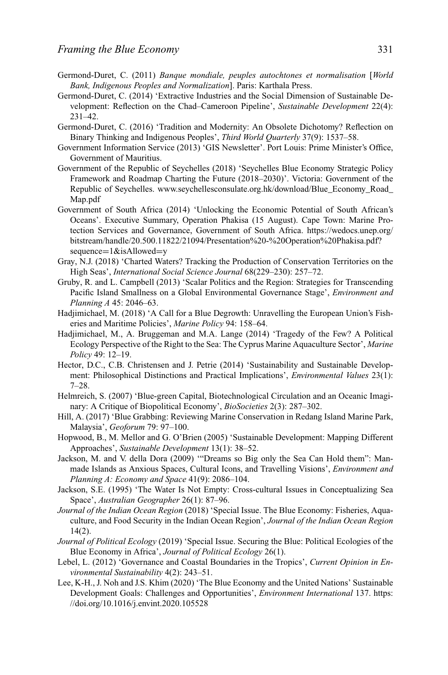- Germond-Duret, C. (2011) *Banque mondiale, peuples autochtones et normalisation* [*World Bank, Indigenous Peoples and Normalization*]. Paris: Karthala Press.
- Germond-Duret, C. (2014) 'Extractive Industries and the Social Dimension of Sustainable Development: Reflection on the Chad–Cameroon Pipeline', *Sustainable Development* 22(4): 231–42.
- Germond-Duret, C. (2016) 'Tradition and Modernity: An Obsolete Dichotomy? Reflection on Binary Thinking and Indigenous Peoples', *Third World Quarterly* 37(9): 1537–58.
- Government Information Service (2013) 'GIS Newsletter'. Port Louis: Prime Minister's Office, Government of Mauritius.
- Government of the Republic of Seychelles (2018) 'Seychelles Blue Economy Strategic Policy Framework and Roadmap Charting the Future (2018–2030)'. Victoria: Government of the Republic of Seychelles. [www.seychellesconsulate.org.hk/download/Blue\\_Economy\\_Road\\_](http://www.seychellesconsulate.org.hk/download/Blue_Economy_Road_Map.pdf) [Map.pdf](http://www.seychellesconsulate.org.hk/download/Blue_Economy_Road_Map.pdf)
- Government of South Africa (2014) 'Unlocking the Economic Potential of South African's Oceans'. Executive Summary, Operation Phakisa (15 August). Cape Town: Marine Protection Services and Governance, Government of South Africa. [https://wedocs.unep.org/](https://wedocs.unep.org/bitstream/handle/20.500.11822/21094/Presentation) [bitstream/handle/20.500.11822/21094/Presentation%](https://wedocs.unep.org/bitstream/handle/20.500.11822/21094/Presentation)20-%20Operation%20Phakisa.pdf? sequence=1&isAllowed=y
- Gray, N.J. (2018) 'Charted Waters? Tracking the Production of Conservation Territories on the High Seas', *International Social Science Journal* 68(229–230): 257–72.
- Gruby, R. and L. Campbell (2013) 'Scalar Politics and the Region: Strategies for Transcending Pacific Island Smallness on a Global Environmental Governance Stage', *Environment and Planning A* 45: 2046–63.
- Hadjimichael, M. (2018) 'A Call for a Blue Degrowth: Unravelling the European Union's Fisheries and Maritime Policies', *Marine Policy* 94: 158–64.
- Hadjimichael, M., A. Bruggeman and M.A. Lange (2014) 'Tragedy of the Few? A Political Ecology Perspective of the Right to the Sea: The Cyprus Marine Aquaculture Sector', *Marine Policy* 49: 12–19.
- Hector, D.C., C.B. Christensen and J. Petrie (2014) 'Sustainability and Sustainable Development: Philosophical Distinctions and Practical Implications', *Environmental Values* 23(1): 7–28.
- Helmreich, S. (2007) 'Blue-green Capital, Biotechnological Circulation and an Oceanic Imaginary: A Critique of Biopolitical Economy', *BioSocieties* 2(3): 287–302.
- Hill, A. (2017) 'Blue Grabbing: Reviewing Marine Conservation in Redang Island Marine Park, Malaysia', *Geoforum* 79: 97–100.
- Hopwood, B., M. Mellor and G. O'Brien (2005) 'Sustainable Development: Mapping Different Approaches', *Sustainable Development* 13(1): 38–52.
- Jackson, M. and V. della Dora (2009) '"Dreams so Big only the Sea Can Hold them": Manmade Islands as Anxious Spaces, Cultural Icons, and Travelling Visions', *Environment and Planning A: Economy and Space* 41(9): 2086–104.
- Jackson, S.E. (1995) 'The Water Is Not Empty: Cross-cultural Issues in Conceptualizing Sea Space', *Australian Geographer* 26(1): 87–96.
- *Journal of the Indian Ocean Region* (2018) 'Special Issue. The Blue Economy: Fisheries, Aquaculture, and Food Security in the Indian Ocean Region', *Journal of the Indian Ocean Region* 14(2).
- *Journal of Political Ecology* (2019) 'Special Issue. Securing the Blue: Political Ecologies of the Blue Economy in Africa', *Journal of Political Ecology* 26(1).
- Lebel, L. (2012) 'Governance and Coastal Boundaries in the Tropics', *Current Opinion in Environmental Sustainability* 4(2): 243–51.
- Lee, K-H., J. Noh and J.S. Khim (2020) 'The Blue Economy and the United Nations' Sustainable Development Goals: Challenges and Opportunities', *Environment International* 137. [https:](https://doi.org/10.1016/j.envint.2020.105528) [//doi.org/10.1016/j.envint.2020.105528](https://doi.org/10.1016/j.envint.2020.105528)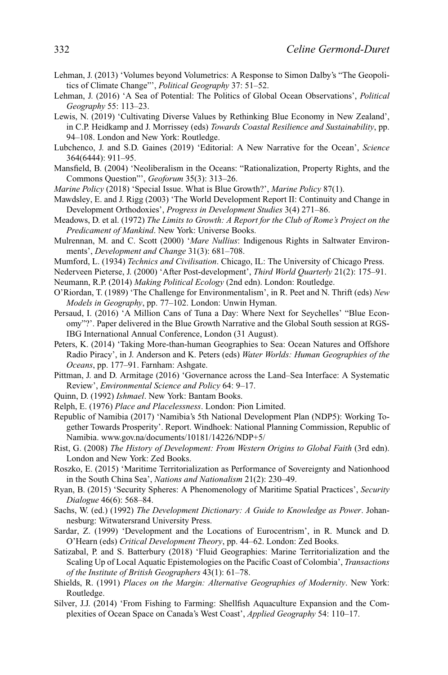- Lehman, J. (2013) 'Volumes beyond Volumetrics: A Response to Simon Dalby's "The Geopolitics of Climate Change"', *Political Geography* 37: 51–52.
- Lehman, J. (2016) 'A Sea of Potential: The Politics of Global Ocean Observations', *Political Geography* 55: 113–23.
- Lewis, N. (2019) 'Cultivating Diverse Values by Rethinking Blue Economy in New Zealand', in C.P. Heidkamp and J. Morrissey (eds) *Towards Coastal Resilience and Sustainability*, pp. 94–108. London and New York: Routledge.
- Lubchenco, J. and S.D. Gaines (2019) 'Editorial: A New Narrative for the Ocean', *Science* 364(6444): 911–95.
- Mansfield, B. (2004) 'Neoliberalism in the Oceans: "Rationalization, Property Rights, and the Commons Question"', *Geoforum* 35(3): 313–26.
- *Marine Policy* (2018) 'Special Issue. What is Blue Growth?', *Marine Policy* 87(1).
- Mawdsley, E. and J. Rigg (2003) 'The World Development Report II: Continuity and Change in Development Orthodoxies', *Progress in Development Studies* 3(4) 271–86.
- Meadows, D. et al. (1972) *The Limits to Growth: A Report for the Club of Rome's Project on the Predicament of Mankind*. New York: Universe Books.
- Mulrennan, M. and C. Scott (2000) '*Mare Nullius*: Indigenous Rights in Saltwater Environments', *Development and Change* 31(3): 681–708.
- Mumford, L. (1934) *Technics and Civilisation*. Chicago, IL: The University of Chicago Press.
- Nederveen Pieterse, J. (2000) 'After Post-development', *Third World Quarterly* 21(2): 175–91.
- Neumann, R.P. (2014) *Making Political Ecology* (2nd edn). London: Routledge.
- O'Riordan, T. (1989) 'The Challenge for Environmentalism', in R. Peet and N. Thrift (eds) *New Models in Geography*, pp. 77–102. London: Unwin Hyman.
- Persaud, I. (2016) 'A Million Cans of Tuna a Day: Where Next for Seychelles' "Blue Economy"?'. Paper delivered in the Blue Growth Narrative and the Global South session at RGS-IBG International Annual Conference, London (31 August).
- Peters, K. (2014) 'Taking More-than-human Geographies to Sea: Ocean Natures and Offshore Radio Piracy', in J. Anderson and K. Peters (eds) *Water Worlds: Human Geographies of the Oceans*, pp. 177–91. Farnham: Ashgate.
- Pittman, J. and D. Armitage (2016) 'Governance across the Land–Sea Interface: A Systematic Review', *Environmental Science and Policy* 64: 9–17.
- Quinn, D. (1992) *Ishmael*. New York: Bantam Books.
- Relph, E. (1976) *Place and Placelessness*. London: Pion Limited.
- Republic of Namibia (2017) 'Namibia's 5th National Development Plan (NDP5): Working Together Towards Prosperity'. Report. Windhoek: National Planning Commission, Republic of Namibia. [www.gov.na/documents/10181/14226/NDP+5/](http://www.gov.na/documents/10181/14226/NDP%2B5/)
- Rist, G. (2008) *The History of Development: From Western Origins to Global Faith* (3rd edn). London and New York: Zed Books.
- Roszko, E. (2015) 'Maritime Territorialization as Performance of Sovereignty and Nationhood in the South China Sea', *Nations and Nationalism* 21(2): 230–49.
- Ryan, B. (2015) 'Security Spheres: A Phenomenology of Maritime Spatial Practices', *Security Dialogue* 46(6): 568–84.
- Sachs, W. (ed.) (1992) *The Development Dictionary: A Guide to Knowledge as Power*. Johannesburg: Witwatersrand University Press.
- Sardar, Z. (1999) 'Development and the Locations of Eurocentrism', in R. Munck and D. O'Hearn (eds) *Critical Development Theory*, pp. 44–62. London: Zed Books.
- Satizabal, P. and S. Batterbury (2018) 'Fluid Geographies: Marine Territorialization and the Scaling Up of Local Aquatic Epistemologies on the Pacific Coast of Colombia', *Transactions of the Institute of British Geographers* 43(1): 61–78.
- Shields, R. (1991) *Places on the Margin: Alternative Geographies of Modernity*. New York: Routledge.
- Silver, J.J. (2014) 'From Fishing to Farming: Shellfish Aquaculture Expansion and the Complexities of Ocean Space on Canada's West Coast', *Applied Geography* 54: 110–17.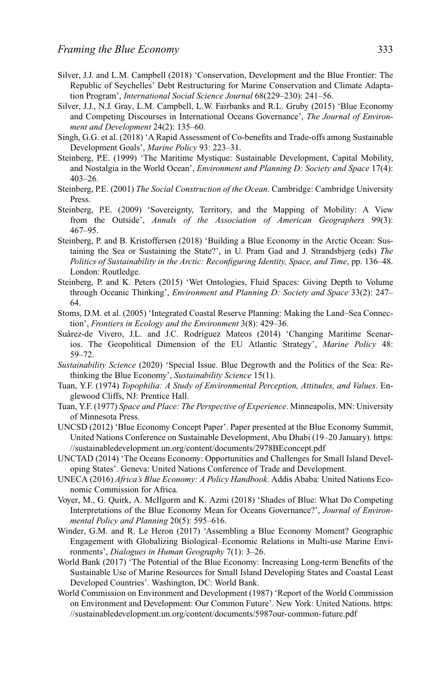- Silver, J.J. and L.M. Campbell (2018) 'Conservation, Development and the Blue Frontier: The Republic of Seychelles' Debt Restructuring for Marine Conservation and Climate Adaptation Program', *International Social Science Journal* 68(229–230): 241–56.
- Silver, J.J., N.J. Gray, L.M. Campbell, L.W. Fairbanks and R.L. Gruby (2015) 'Blue Economy and Competing Discourses in International Oceans Governance', *The Journal of Environment and Development* 24(2): 135–60.
- Singh, G.G. et al. (2018) 'A Rapid Assessment of Co-benefits and Trade-offs among Sustainable Development Goals', *Marine Policy* 93: 223–31.
- Steinberg, P.E. (1999) 'The Maritime Mystique: Sustainable Development, Capital Mobility, and Nostalgia in the World Ocean', *Environment and Planning D: Society and Space* 17(4): 403–26.
- Steinberg, P.E. (2001) *The Social Construction of the Ocean*. Cambridge: Cambridge University Press.
- Steinberg, P.E. (2009) 'Sovereignty, Territory, and the Mapping of Mobility: A View from the Outside', *Annals of the Association of American Geographers* 99(3): 467–95.
- Steinberg, P. and B. Kristoffersen (2018) 'Building a Blue Economy in the Arctic Ocean: Sustaining the Sea or Sustaining the State?', in U. Pram Gad and J. Strandsbjerg (eds) *The Politics of Sustainability in the Arctic: Reconfiguring Identity, Space, and Time*, pp. 136–48. London: Routledge.
- Steinberg, P. and K. Peters (2015) 'Wet Ontologies, Fluid Spaces: Giving Depth to Volume through Oceanic Thinking', *Environment and Planning D: Society and Space* 33(2): 247– 64.
- Stoms, D.M. et al. (2005) 'Integrated Coastal Reserve Planning: Making the Land–Sea Connection', *Frontiers in Ecology and the Environment* 3(8): 429–36.
- Suárez-de Vivero, J.L. and J.C. Rodríguez Mateos (2014) 'Changing Maritime Scenarios. The Geopolitical Dimension of the EU Atlantic Strategy', *Marine Policy* 48: 59–72.
- *Sustainability Science* (2020) 'Special Issue. Blue Degrowth and the Politics of the Sea: Rethinking the Blue Economy', *Sustainability Science* 15(1).
- Tuan, Y.F. (1974) *Topophilia: A Study of Environmental Perception, Attitudes, and Values*. Englewood Cliffs, NJ: Prentice Hall.
- Tuan, Y.F. (1977) *Space and Place: The Perspective of Experience*. Minneapolis, MN: University of Minnesota Press.
- UNCSD (2012) 'Blue Economy Concept Paper'. Paper presented at the Blue Economy Summit, United Nations Conference on Sustainable Development, Abu Dhabi (19–20 January). [https:](https://sustainabledevelopment.un.org/content/documents/2978BEconcept.pdf) [//sustainabledevelopment.un.org/content/documents/2978BEconcept.pdf](https://sustainabledevelopment.un.org/content/documents/2978BEconcept.pdf)
- UNCTAD (2014) 'The Oceans Economy: Opportunities and Challenges for Small Island Developing States'. Geneva: United Nations Conference of Trade and Development.
- UNECA (2016) *Africa's Blue Economy: A Policy Handbook*. Addis Ababa: United Nations Economic Commission for Africa.
- Voyer, M., G. Quirk, A. McIlgorm and K. Azmi (2018) 'Shades of Blue: What Do Competing Interpretations of the Blue Economy Mean for Oceans Governance?', *Journal of Environmental Policy and Planning* 20(5): 595–616.
- Winder, G.M. and R. Le Heron (2017) 'Assembling a Blue Economy Moment? Geographic Engagement with Globalizing Biological–Economic Relations in Multi-use Marine Environments', *Dialogues in Human Geography* 7(1): 3–26.
- World Bank (2017) 'The Potential of the Blue Economy: Increasing Long-term Benefits of the Sustainable Use of Marine Resources for Small Island Developing States and Coastal Least Developed Countries'. Washington, DC: World Bank.
- World Commission on Environment and Development (1987) 'Report of the World Commission on Environment and Development: Our Common Future'. New York: United Nations. [https:](https://sustainabledevelopment.un.org/content/documents/5987our-common-future.pdf) [//sustainabledevelopment.un.org/content/documents/5987our-common-future.pdf](https://sustainabledevelopment.un.org/content/documents/5987our-common-future.pdf)